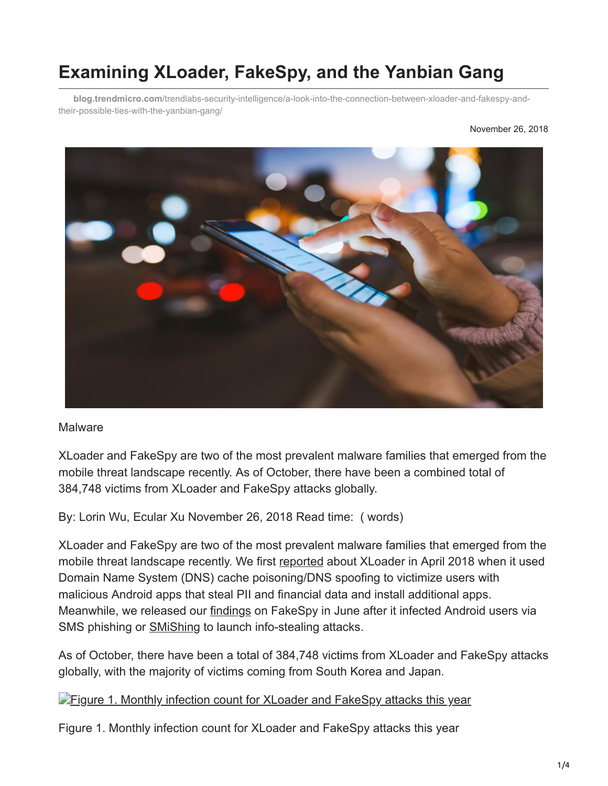# **Examining XLoader, FakeSpy, and the Yanbian Gang**

**blog.trendmicro.com**[/trendlabs-security-intelligence/a-look-into-the-connection-between-xloader-and-fakespy-and](https://blog.trendmicro.com/trendlabs-security-intelligence/a-look-into-the-connection-between-xloader-and-fakespy-and-their-possible-ties-with-the-yanbian-gang/)their-possible-ties-with-the-yanbian-gang/



#### **Malware**

XLoader and FakeSpy are two of the most prevalent malware families that emerged from the mobile threat landscape recently. As of October, there have been a combined total of 384,748 victims from XLoader and FakeSpy attacks globally.

By: Lorin Wu, Ecular Xu November 26, 2018 Read time: ( words)

XLoader and FakeSpy are two of the most prevalent malware families that emerged from the mobile threat landscape recently. We first [reported](https://blog.trendmicro.com/trendlabs-security-intelligence/xloader-android-spyware-and-banking-trojan-distributed-via-dns-spoofing/) about XLoader in April 2018 when it used Domain Name System (DNS) cache poisoning/DNS spoofing to victimize users with malicious Android apps that steal PII and financial data and install additional apps. Meanwhile, we released our **[findings](https://blog.trendmicro.com/trendlabs-security-intelligence/fakespy-android-information-stealing-malware-targets-japanese-and-korean-speaking-users/)** on FakeSpy in June after it infected Android users via SMS phishing or [SMiShing](https://www.trendmicro.com/vinfo/us/security/definition/smishing) to launch info-stealing attacks.

As of October, there have been a total of 384,748 victims from XLoader and FakeSpy attacks globally, with the majority of victims coming from South Korea and Japan.

**[Figure 1. Monthly infection count for XLoader and FakeSpy attacks this year](https://blog.trendmicro.com/content/dam/trendmicro/global/en/migrated/security-intelligence-migration-spreadsheet/trendlabs-security-intelligence/2018/11/figure_1_monthly_infection_count_fakespy_xloader.jpg)** 

Figure 1. Monthly infection count for XLoader and FakeSpy attacks this year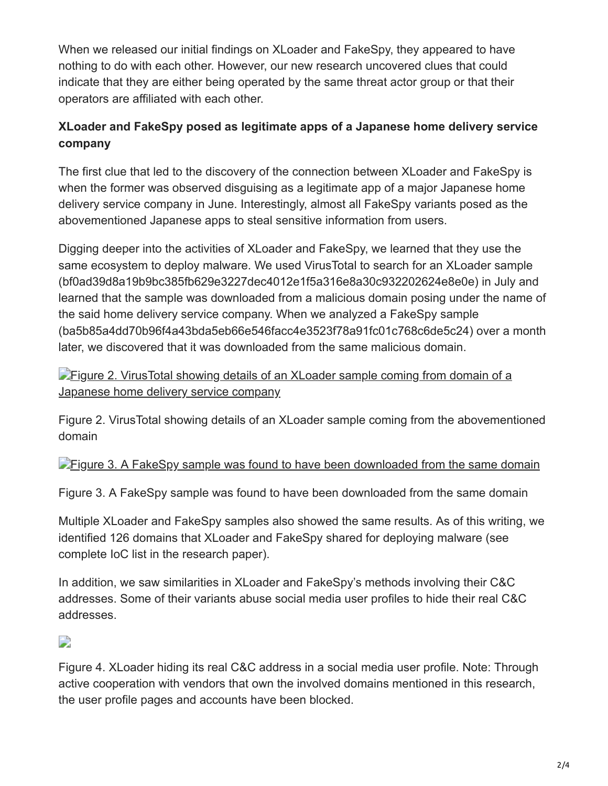When we released our initial findings on XLoader and FakeSpy, they appeared to have nothing to do with each other. However, our new research uncovered clues that could indicate that they are either being operated by the same threat actor group or that their operators are affiliated with each other.

# **XLoader and FakeSpy posed as legitimate apps of a Japanese home delivery service company**

The first clue that led to the discovery of the connection between XLoader and FakeSpy is when the former was observed disguising as a legitimate app of a major Japanese home delivery service company in June. Interestingly, almost all FakeSpy variants posed as the abovementioned Japanese apps to steal sensitive information from users.

Digging deeper into the activities of XLoader and FakeSpy, we learned that they use the same ecosystem to deploy malware. We used VirusTotal to search for an XLoader sample (bf0ad39d8a19b9bc385fb629e3227dec4012e1f5a316e8a30c932202624e8e0e) in July and learned that the sample was downloaded from a malicious domain posing under the name of the said home delivery service company. When we analyzed a FakeSpy sample (ba5b85a4dd70b96f4a43bda5eb66e546facc4e3523f78a91fc01c768c6de5c24) over a month later, we discovered that it was downloaded from the same malicious domain.

**[Figure 2. VirusTotal showing details of an XLoader sample coming from domain of a](https://blog.trendmicro.com/content/dam/trendmicro/global/en/migrated/security-intelligence-migration-spreadsheet/trendlabs-security-intelligence/2018/11/Figure_2_VirusTotal_XLoader_FakeSpy.jpg)** Japanese home delivery service company

Figure 2. VirusTotal showing details of an XLoader sample coming from the abovementioned domain

### **[Figure 3. A FakeSpy sample was found to have been downloaded from the same domain](https://blog.trendmicro.com/content/dam/trendmicro/global/en/migrated/security-intelligence-migration-spreadsheet/trendlabs-security-intelligence/2018/11/Figure_3_FakeSpy_Domain.jpg)**

Figure 3. A FakeSpy sample was found to have been downloaded from the same domain

Multiple XLoader and FakeSpy samples also showed the same results. As of this writing, we identified 126 domains that XLoader and FakeSpy shared for deploying malware (see complete IoC list in the research paper).

In addition, we saw similarities in XLoader and FakeSpy's methods involving their C&C addresses. Some of their variants abuse social media user profiles to hide their real C&C addresses.

# D

Figure 4. XLoader hiding its real C&C address in a social media user profile. Note: Through active cooperation with vendors that own the involved domains mentioned in this research, the user profile pages and accounts have been blocked.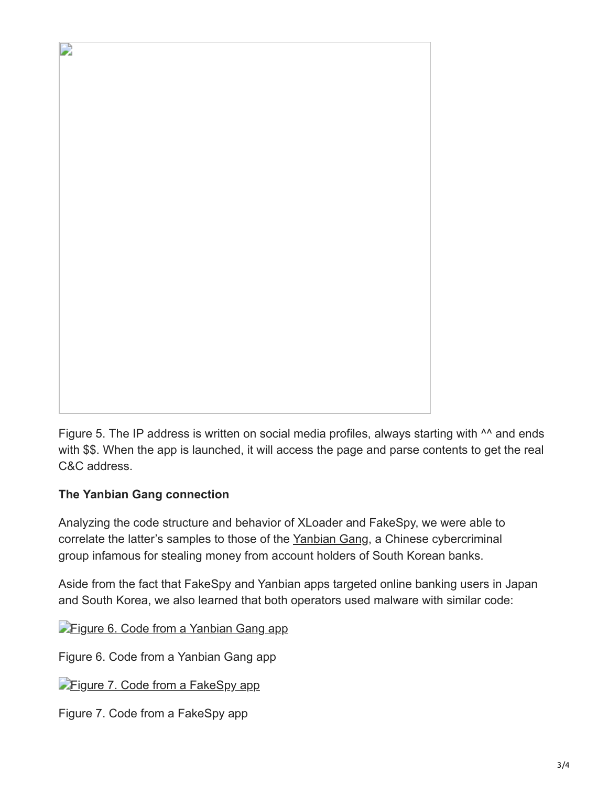

Figure 5. The IP address is written on social media profiles, always starting with <sup>^^</sup> and ends with \$\$. When the app is launched, it will access the page and parse contents to get the real C&C address.

## **The Yanbian Gang connection**

Analyzing the code structure and behavior of XLoader and FakeSpy, we were able to correlate the latter's samples to those of the [Yanbian Gang](https://blog.trendmicro.com/trendlabs-security-intelligence/mobile-malware-gang-steals-millions-from-south-korean-users/), a Chinese cybercriminal group infamous for stealing money from account holders of South Korean banks.

Aside from the fact that FakeSpy and Yanbian apps targeted online banking users in Japan and South Korea, we also learned that both operators used malware with similar code:

**[Figure 6. Code from a Yanbian Gang app](https://blog.trendmicro.com/content/dam/trendmicro/global/en/migrated/security-intelligence-migration-spreadsheet/trendlabs-security-intelligence/2018/11/Figure_6_Yanbian_code.jpg)** 

Figure 6. Code from a Yanbian Gang app

**[Figure 7. Code from a FakeSpy app](https://blog.trendmicro.com/content/dam/trendmicro/global/en/migrated/security-intelligence-migration-spreadsheet/trendlabs-security-intelligence/2018/11/Figure_7_FakeSpy_code.jpg)** 

Figure 7. Code from a FakeSpy app